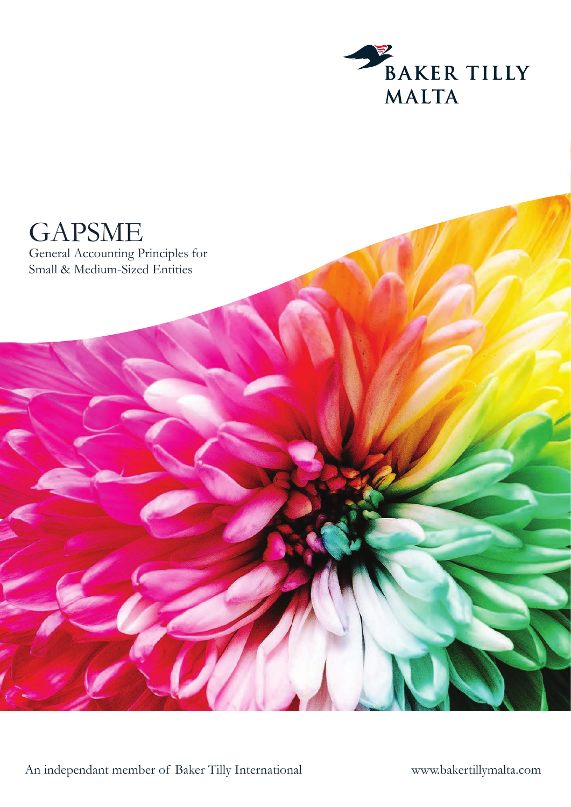



An independant member of Baker Tilly International

www.bakertillymalta.com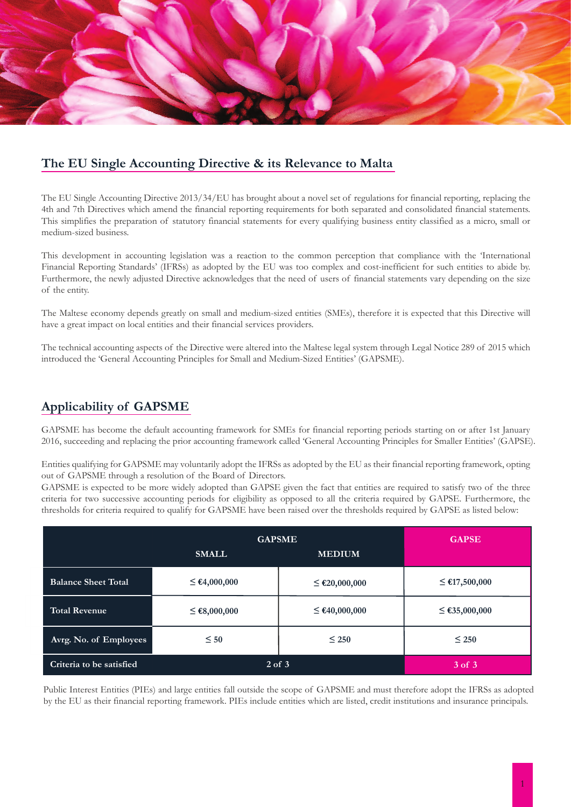

## **The EU Single Accounting Directive & its Relevance to Malta**

The EU Single Accounting Directive 2013/34/EU has brought about a novel set of regulations for financial reporting, replacing the 4th and 7th Directives which amend the financial reporting requirements for both separated and consolidated financial statements. This simplifies the preparation of statutory financial statements for every qualifying business entity classified as a micro, small or medium-sized business.

This development in accounting legislation was a reaction to the common perception that compliance with the 'International Financial Reporting Standards' (IFRSs) as adopted by the EU was too complex and cost-inefficient for such entities to abide by. Furthermore, the newly adjusted Directive acknowledges that the need of users of financial statements vary depending on the size of the entity.

The Maltese economy depends greatly on small and medium-sized entities (SMEs), therefore it is expected that this Directive will have a great impact on local entities and their financial services providers.

The technical accounting aspects of the Directive were altered into the Maltese legal system through Legal Notice 289 of 2015 which introduced the 'General Accounting Principles for Small and Medium-Sized Entities' (GAPSME).

### **Applicability of GAPSME**

GAPSME has become the default accounting framework for SMEs for financial reporting periods starting on or after 1st January 2016, succeeding and replacing the prior accounting framework called 'General Accounting Principles for Smaller Entities' (GAPSE).

Entities qualifying for GAPSME may voluntarily adopt the IFRSs as adopted by the EU as their financial reporting framework, opting out of GAPSME through a resolution of the Board of Directors.

GAPSME is expected to be more widely adopted than GAPSE given the fact that entities are required to satisfy two of the three criteria for two successive accounting periods for eligibility as opposed to all the criteria required by GAPSE. Furthermore, the thresholds for criteria required to qualify for GAPSME have been raised over the thresholds required by GAPSE as listed below:

|                            | <b>GAPSME</b>     | <b>GAPSE</b>       |                    |  |
|----------------------------|-------------------|--------------------|--------------------|--|
|                            | <b>SMALL</b>      | <b>MEDIUM</b>      |                    |  |
| <b>Balance Sheet Total</b> | $\leq$ €4,000,000 | $\leq$ €20,000,000 | $≤$ €17,500,000    |  |
| <b>Total Revenue</b>       | $≤$ €8,000,000    | $\leq$ €40,000,000 | $\leq$ €35,000,000 |  |
| Avrg. No. of Employees     | $\leq 50$         | $\leq 250$         | $\leq 250$         |  |
| Criteria to be satisfied   | $2$ of $3$        | 3 of 3             |                    |  |

Public Interest Entities (PIEs) and large entities fall outside the scope of GAPSME and must therefore adopt the IFRSs as adopted by the EU as their financial reporting framework. PIEs include entities which are listed, credit institutions and insurance principals.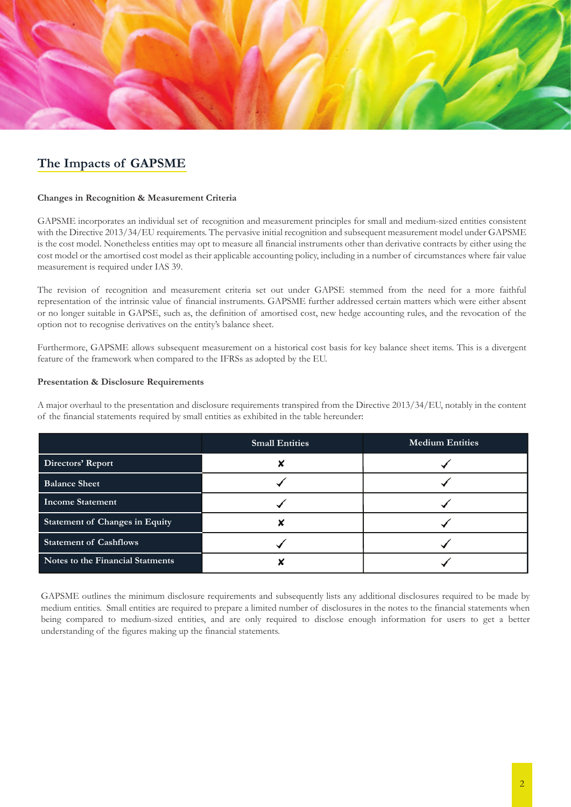

# **The Impacts of GAPSME**

#### **Changes in Recognition & Measurement Criteria**

GAPSME incorporates an individual set of recognition and measurement principles for small and medium-sized entities consistent with the Directive 2013/34/EU requirements. The pervasive initial recognition and subsequent measurement model under GAPSME is the cost model. Nonetheless entities may opt to measure all financial instruments other than derivative contracts by either using the cost model or the amortised cost model as their applicable accounting policy, including in a number of circumstances where fair value measurement is required under IAS 39.

The revision of recognition and measurement criteria set out under GAPSE stemmed from the need for a more faithful representation of the intrinsic value of financial instruments. GAPSME further addressed certain matters which were either absent or no longer suitable in GAPSE, such as, the definition of amortised cost, new hedge accounting rules, and the revocation of the option not to recognise derivatives on the entity's balance sheet.

Furthermore, GAPSME allows subsequent measurement on a historical cost basis for key balance sheet items. This is a divergent feature of the framework when compared to the IFRSs as adopted by the EU.

#### **Presentation & Disclosure Requirements**

A major overhaul to the presentation and disclosure requirements transpired from the Directive 2013/34/EU, notably in the content of the financial statements required by small entities as exhibited in the table hereunder:

|                                       | <b>Small Entities</b> | <b>Medium Entities</b> |  |  |
|---------------------------------------|-----------------------|------------------------|--|--|
| Directors' Report                     |                       |                        |  |  |
| <b>Balance Sheet</b>                  |                       |                        |  |  |
| Income Statement                      |                       |                        |  |  |
| <b>Statement of Changes in Equity</b> |                       |                        |  |  |
| <b>Statement of Cashflows</b>         |                       |                        |  |  |
| Notes to the Financial Statments      |                       |                        |  |  |

GAPSME outlines the minimum disclosure requirements and subsequently lists any additional disclosures required to be made by medium entities. Small entities are required to prepare a limited number of disclosures in the notes to the financial statements when being compared to medium-sized entities, and are only required to disclose enough information for users to get a better understanding of the figures making up the financial statements.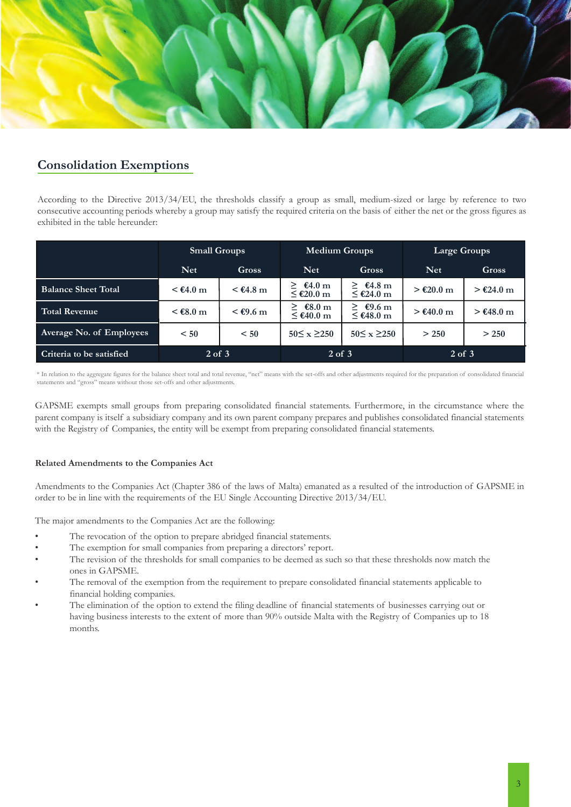

## **Consolidation Exemptions**

According to the Directive 2013/34/EU, the thresholds classify a group as small, medium-sized or large by reference to two consecutive accounting periods whereby a group may satisfy the required criteria on the basis of either the net or the gross figures as exhibited in the table hereunder:

|                            | <b>Small Groups</b> |                                          | <b>Medium Groups</b>       |                              | <b>Large Groups</b> |             |
|----------------------------|---------------------|------------------------------------------|----------------------------|------------------------------|---------------------|-------------|
|                            | <b>Net</b>          | <b>Gross</b>                             | Net.                       | Gross                        | <b>Net</b>          | Gross       |
| <b>Balance Sheet Total</b> | $<$ €4.0 m          | $\leq \text{\textsterling}4.8 \text{ m}$ | €4.0 m<br>⋗<br>$≤$ €20.0 m | $\geq$ €4.8 m<br>$≤$ €24.0 m | $> €20.0$ m         | $> €24.0$ m |
| Total Revenue              | $<$ €8.0 m          | $\leq \text{\textsterling}9.6 \text{ m}$ | €8.0 m<br>≥<br>$≤$ €40.0 m | €9.6 m<br>⋗<br>$≤$ €48.0 m   | $> €40.0$ m         | $> €48.0$ m |
| Average No. of Employees   | < 50                | < 50                                     | $50 \le x \ge 250$         | $50 \le x \ge 250$           | > 250               | > 250       |
| Criteria to be satisfied   | $2$ of $3$          |                                          | $2$ of $3$                 |                              | $2$ of $3$          |             |

\* In relation to the aggregate figures for the balance sheet total and total revenue, "net" means with the set-offs and other adjustments required for the preparation of consolidated financial statements and "gross" means without those set-offs and other adjustments.

GAPSME exempts small groups from preparing consolidated financial statements. Furthermore, in the circumstance where the parent company is itself a subsidiary company and its own parent company prepares and publishes consolidated financial statements with the Registry of Companies, the entity will be exempt from preparing consolidated financial statements.

### **Related Amendments to the Companies Act**

Amendments to the Companies Act (Chapter 386 of the laws of Malta) emanated as a resulted of the introduction of GAPSME in order to be in line with the requirements of the EU Single Accounting Directive 2013/34/EU.

The major amendments to the Companies Act are the following:

- The revocation of the option to prepare abridged financial statements.
- The exemption for small companies from preparing a directors' report.
- The revision of the thresholds for small companies to be deemed as such so that these thresholds now match the ones in GAPSME.
- The removal of the exemption from the requirement to prepare consolidated financial statements applicable to financial holding companies.
- The elimination of the option to extend the filing deadline of financial statements of businesses carrying out or having business interests to the extent of more than 90% outside Malta with the Registry of Companies up to 18 months.